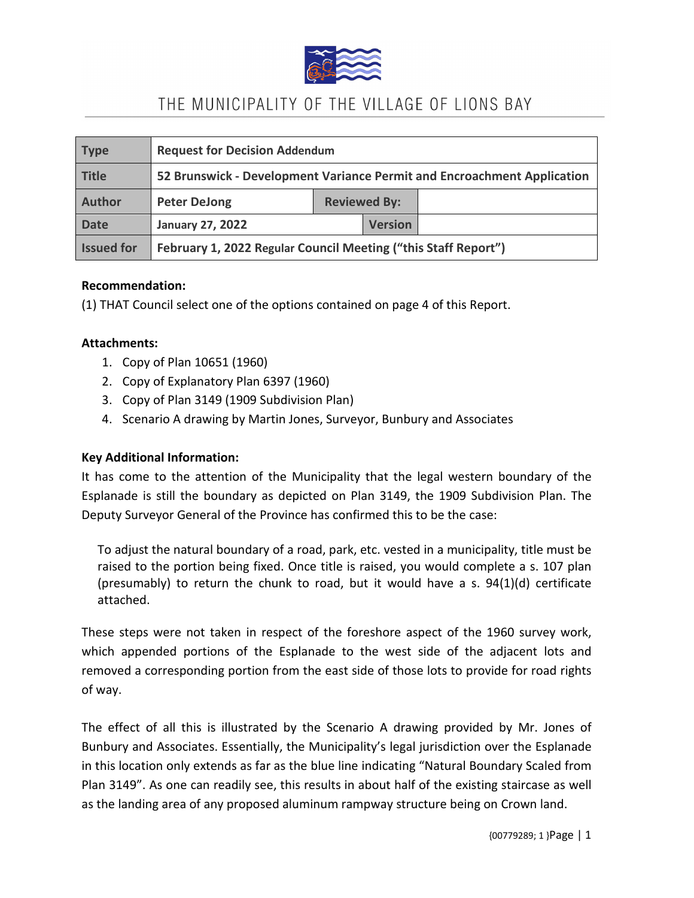

| <b>Type</b>       | <b>Request for Decision Addendum</b>                                    |                     |                |  |  |
|-------------------|-------------------------------------------------------------------------|---------------------|----------------|--|--|
| Title             | 52 Brunswick - Development Variance Permit and Encroachment Application |                     |                |  |  |
| Author            | <b>Peter DeJong</b>                                                     | <b>Reviewed By:</b> |                |  |  |
| <b>Date</b>       | <b>January 27, 2022</b>                                                 |                     | <b>Version</b> |  |  |
| <b>Issued for</b> | February 1, 2022 Regular Council Meeting ("this Staff Report")          |                     |                |  |  |

#### **Recommendation:**

(1) THAT Council select one of the options contained on page 4 of this Report.

#### **Attachments:**

- 1. Copy of Plan 10651 (1960)
- 2. Copy of Explanatory Plan 6397 (1960)
- 3. Copy of Plan 3149 (1909 Subdivision Plan)
- 4. Scenario A drawing by Martin Jones, Surveyor, Bunbury and Associates

#### **Key Additional Information:**

It has come to the attention of the Municipality that the legal western boundary of the Esplanade is still the boundary as depicted on Plan 3149, the 1909 Subdivision Plan. The Deputy Surveyor General of the Province has confirmed this to be the case:

To adjust the natural boundary of a road, park, etc. vested in a municipality, title must be raised to the portion being fixed. Once title is raised, you would complete a s. 107 plan (presumably) to return the chunk to road, but it would have a s.  $94(1)(d)$  certificate attached.

These steps were not taken in respect of the foreshore aspect of the 1960 survey work, which appended portions of the Esplanade to the west side of the adjacent lots and removed a corresponding portion from the east side of those lots to provide for road rights of way.

The effect of all this is illustrated by the Scenario A drawing provided by Mr. Jones of Bunbury and Associates. Essentially, the Municipality's legal jurisdiction over the Esplanade in this location only extends as far as the blue line indicating "Natural Boundary Scaled from Plan 3149". As one can readily see, this results in about half of the existing staircase as well as the landing area of any proposed aluminum rampway structure being on Crown land.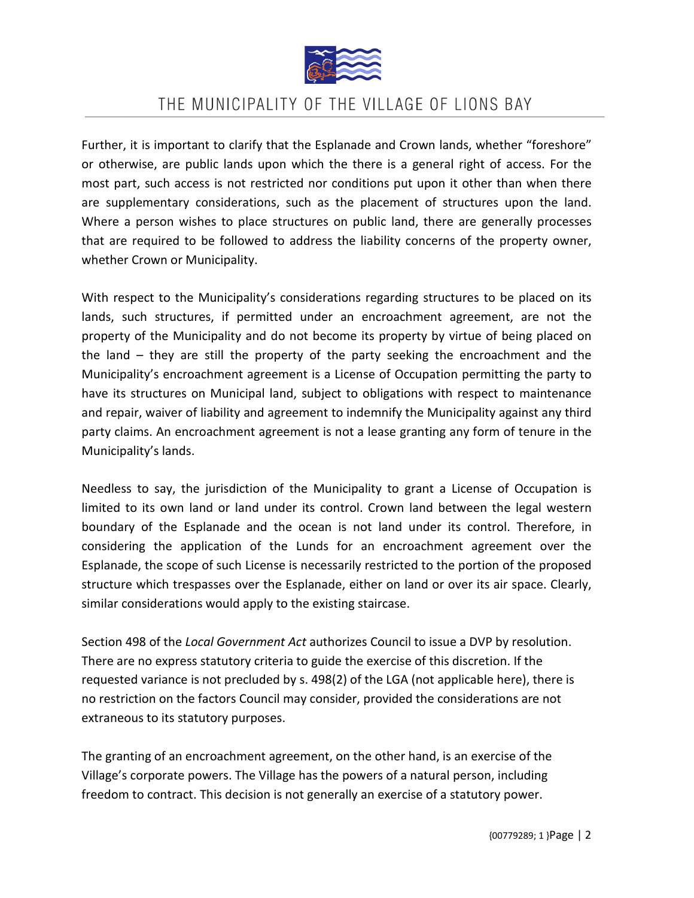

Further, it is important to clarify that the Esplanade and Crown lands, whether "foreshore" or otherwise, are public lands upon which the there is a general right of access. For the most part, such access is not restricted nor conditions put upon it other than when there are supplementary considerations, such as the placement of structures upon the land. Where a person wishes to place structures on public land, there are generally processes that are required to be followed to address the liability concerns of the property owner, whether Crown or Municipality.

With respect to the Municipality's considerations regarding structures to be placed on its lands, such structures, if permitted under an encroachment agreement, are not the property of the Municipality and do not become its property by virtue of being placed on the land – they are still the property of the party seeking the encroachment and the Municipality's encroachment agreement is a License of Occupation permitting the party to have its structures on Municipal land, subject to obligations with respect to maintenance and repair, waiver of liability and agreement to indemnify the Municipality against any third party claims. An encroachment agreement is not a lease granting any form of tenure in the Municipality's lands.

Needless to say, the jurisdiction of the Municipality to grant a License of Occupation is limited to its own land or land under its control. Crown land between the legal western boundary of the Esplanade and the ocean is not land under its control. Therefore, in considering the application of the Lunds for an encroachment agreement over the Esplanade, the scope of such License is necessarily restricted to the portion of the proposed structure which trespasses over the Esplanade, either on land or over its air space. Clearly, similar considerations would apply to the existing staircase.

Section 498 of the *Local Government Act* authorizes Council to issue a DVP by resolution. There are no express statutory criteria to guide the exercise of this discretion. If the requested variance is not precluded by s. 498(2) of the LGA (not applicable here), there is no restriction on the factors Council may consider, provided the considerations are not extraneous to its statutory purposes.

The granting of an encroachment agreement, on the other hand, is an exercise of the Village's corporate powers. The Village has the powers of a natural person, including freedom to contract. This decision is not generally an exercise of a statutory power.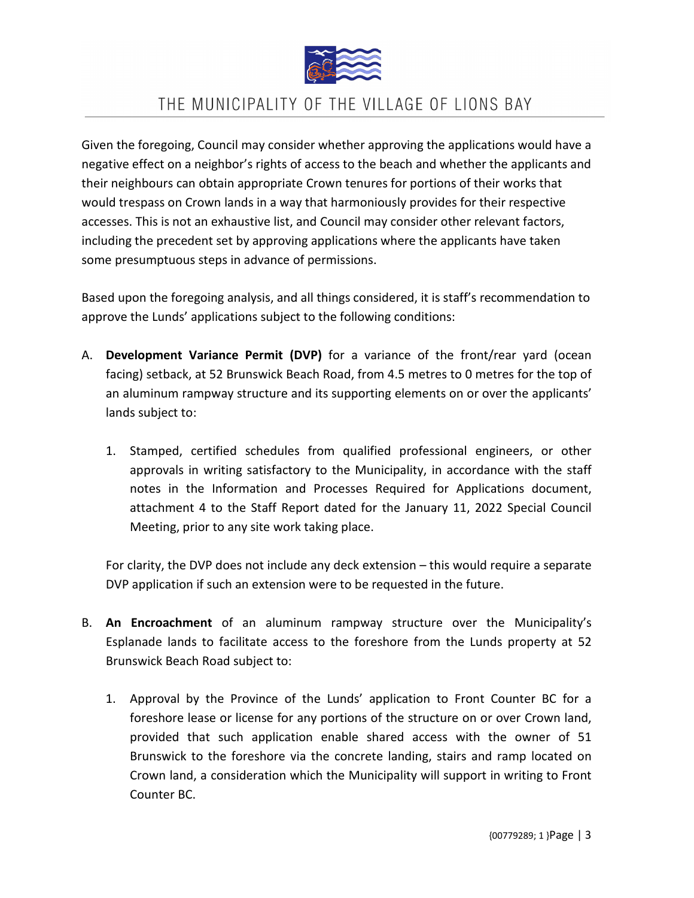

Given the foregoing, Council may consider whether approving the applications would have a negative effect on a neighbor's rights of access to the beach and whether the applicants and their neighbours can obtain appropriate Crown tenures for portions of their works that would trespass on Crown lands in a way that harmoniously provides for their respective accesses. This is not an exhaustive list, and Council may consider other relevant factors, including the precedent set by approving applications where the applicants have taken some presumptuous steps in advance of permissions.

Based upon the foregoing analysis, and all things considered, it is staff's recommendation to approve the Lunds' applications subject to the following conditions:

- A. **Development Variance Permit (DVP)** for a variance of the front/rear yard (ocean facing) setback, at 52 Brunswick Beach Road, from 4.5 metres to 0 metres for the top of an aluminum rampway structure and its supporting elements on or over the applicants' lands subject to:
	- 1. Stamped, certified schedules from qualified professional engineers, or other approvals in writing satisfactory to the Municipality, in accordance with the staff notes in the Information and Processes Required for Applications document, attachment 4 to the Staff Report dated for the January 11, 2022 Special Council Meeting, prior to any site work taking place.

For clarity, the DVP does not include any deck extension – this would require a separate DVP application if such an extension were to be requested in the future.

- B. **An Encroachment** of an aluminum rampway structure over the Municipality's Esplanade lands to facilitate access to the foreshore from the Lunds property at 52 Brunswick Beach Road subject to:
	- 1. Approval by the Province of the Lunds' application to Front Counter BC for a foreshore lease or license for any portions of the structure on or over Crown land, provided that such application enable shared access with the owner of 51 Brunswick to the foreshore via the concrete landing, stairs and ramp located on Crown land, a consideration which the Municipality will support in writing to Front Counter BC.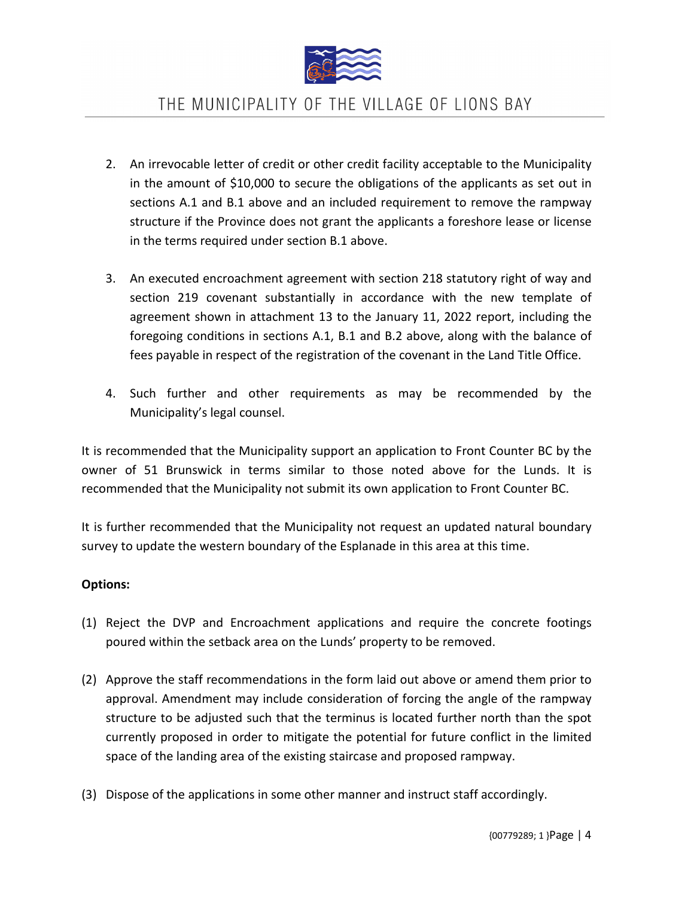

- 2. An irrevocable letter of credit or other credit facility acceptable to the Municipality in the amount of \$10,000 to secure the obligations of the applicants as set out in sections A.1 and B.1 above and an included requirement to remove the rampway structure if the Province does not grant the applicants a foreshore lease or license in the terms required under section B.1 above.
- 3. An executed encroachment agreement with section 218 statutory right of way and section 219 covenant substantially in accordance with the new template of agreement shown in attachment 13 to the January 11, 2022 report, including the foregoing conditions in sections A.1, B.1 and B.2 above, along with the balance of fees payable in respect of the registration of the covenant in the Land Title Office.
- 4. Such further and other requirements as may be recommended by the Municipality's legal counsel.

It is recommended that the Municipality support an application to Front Counter BC by the owner of 51 Brunswick in terms similar to those noted above for the Lunds. It is recommended that the Municipality not submit its own application to Front Counter BC.

It is further recommended that the Municipality not request an updated natural boundary survey to update the western boundary of the Esplanade in this area at this time.

#### **Options:**

- (1) Reject the DVP and Encroachment applications and require the concrete footings poured within the setback area on the Lunds' property to be removed.
- (2) Approve the staff recommendations in the form laid out above or amend them prior to approval. Amendment may include consideration of forcing the angle of the rampway structure to be adjusted such that the terminus is located further north than the spot currently proposed in order to mitigate the potential for future conflict in the limited space of the landing area of the existing staircase and proposed rampway.
- (3) Dispose of the applications in some other manner and instruct staff accordingly.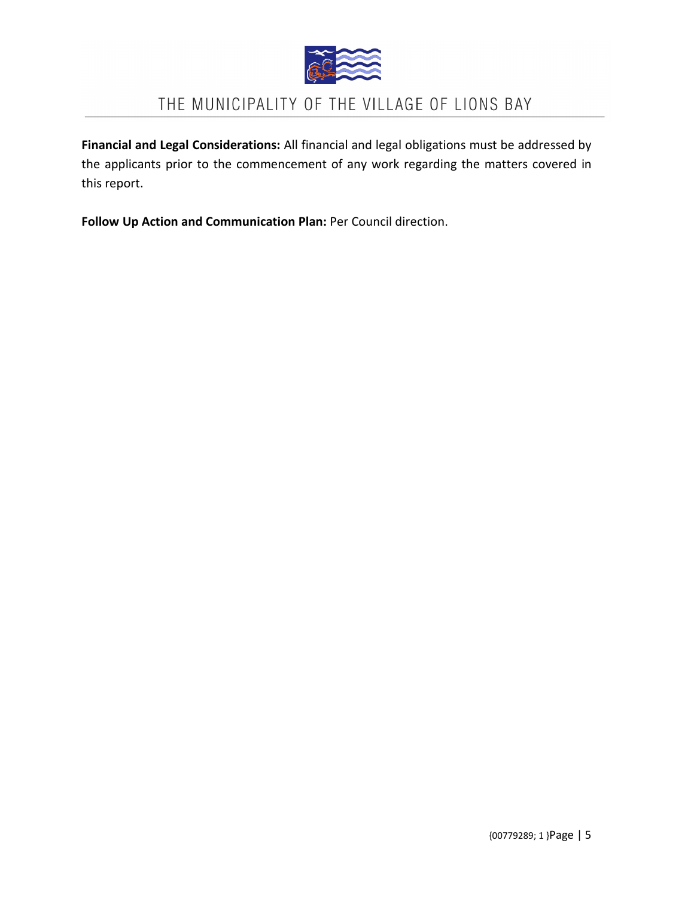

**Financial and Legal Considerations:** All financial and legal obligations must be addressed by the applicants prior to the commencement of any work regarding the matters covered in this report.

**Follow Up Action and Communication Plan:** Per Council direction.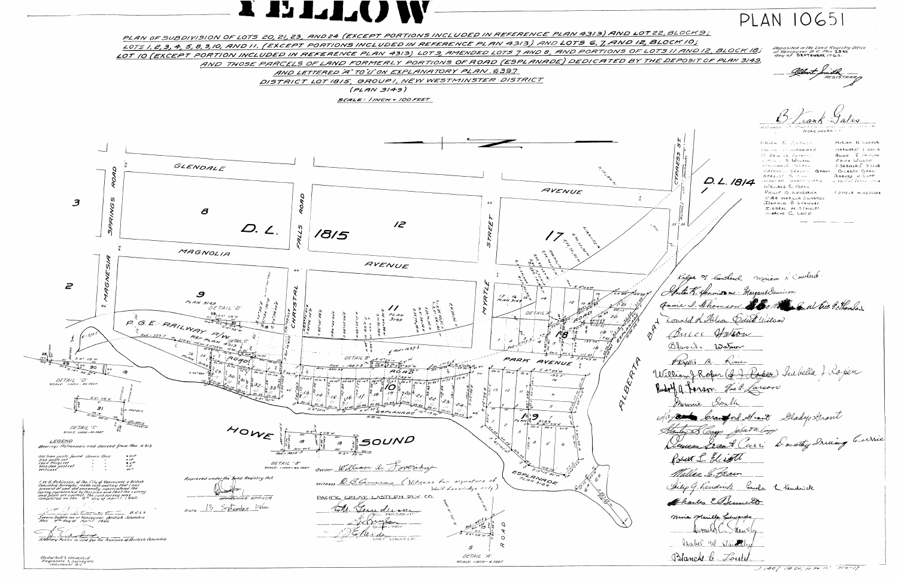





PLAN OF SUBDIVISION OF LOTS 20, 21, 23, AND 24 (EXCEPT PORTIONS INCLUDED IN REFERENCE PLAN 4313) AND LOT 22, BLOCKS; LOTS 1, 2, 3, 4, 5, 8, 9, 10, AND 11, (EXCEPT PORTIONS INCLUDED IN REFERENCE PLAN 4313) AND LOTS 6, 7, AND 12, BLOCK 10; LOT 10 (EXCEPT PORTION INCLUDED IN REFERENCE PLAN 4313) LOT 9, AMENDED LOTS 7 AND 8, AND PORTIONS OF LOTS 11 AND 12, BLOCK 18; AND THOSE PARCELS OF LAND FORMERLY PORTIONS OF ROAD (ESPLANADE) DEDICATED BY THE DEPOSIT OF PLAN 3/49, AND LETTERED "A" TO'U'ON EXPLANATORY PLAN. 639.7 DISTRICT LOT 1815, GROUPI, NEW WESTMINSTER DISTRICT  $(PLAN 3149)$ 

SCALE: INCH = 100 FEET

12 D. 1 1815 AVENUE  $45 P271$  $DETAILB''$ <br>- 1687.3 3 2209 W 21 22  $AGA^{\prime\circ\circ}_{D}$  $\mathcal{S}$  $5.60961500$ <br> $5.60932150$ <br> $5.60932150$ <br> $5.60932150$ <br> $5.60932150$ <br> $5.609310$ <br> $6.609310$ <br> $7.609310$ <br> $7.609310$ HOWE SOUND  $42d$  =  $1687.3'$ DETAIL "8"<br>SCALE: INCH-40 FEET OWNER William Q. Portridge Witness Q. B. Cameron (Witness for signature of World Loveridge only, PACIFIC GREAT EASTERN RIY CO. APPROVING OFFICER  $\lesssim$ Jundim grysen SECRETARY CIVEF ENGINEER



 $PLAN$   $10651$ Deposited in the Land Reqistry Office<br>at Yancouver B C. this 23RD<br>day of SEPTEMBER 1960. HERE UNDER! KALFA N. C.S.DAZK. MIRIAM N. COUNCR MARGARET I ENDING  $TOS = R - T1.$  Denotes ANNIE I TAMILON W. ERIC CE THOMSE? Hombard R. Wilson  $E$  DITH  $W$ ILSON FSABELLA FROPER **Whiteham** J. Kneek RAYMONE CRANESS GRANT CTLASSES CROWT ROBERT N. COPP  $STABLLI$   $S, VSE$ D. L. 1814 DOONAW GERANT PORRHE Liorotal Irane Stre WALLACE C. FEARN PHILIP C. KENDERICK THMELA M.KENDERK NIAA MARILLA EDWARDS DONALD O. STAINSEY ISABEL M.STAINSEY JULANCHE C. LOUTER Ralph M. Constend Miriam N'Courterer Ante K. Merrison Margaret Dennison Annie D. Thomson Me M. S. W. Eil Silverser Lonald R. Hilson Cairt Wilson Bucc Hotson William J. Rober (J. J. Poper) Surbella J. Roper. Rudolf A Parson Maldarson Mayne brand Sant Glady Arout Thelip G. Kendrich Camela L. Kendrick Thailes EStemment W standal J. 1407 FB. 20, pp 96 10, 306-17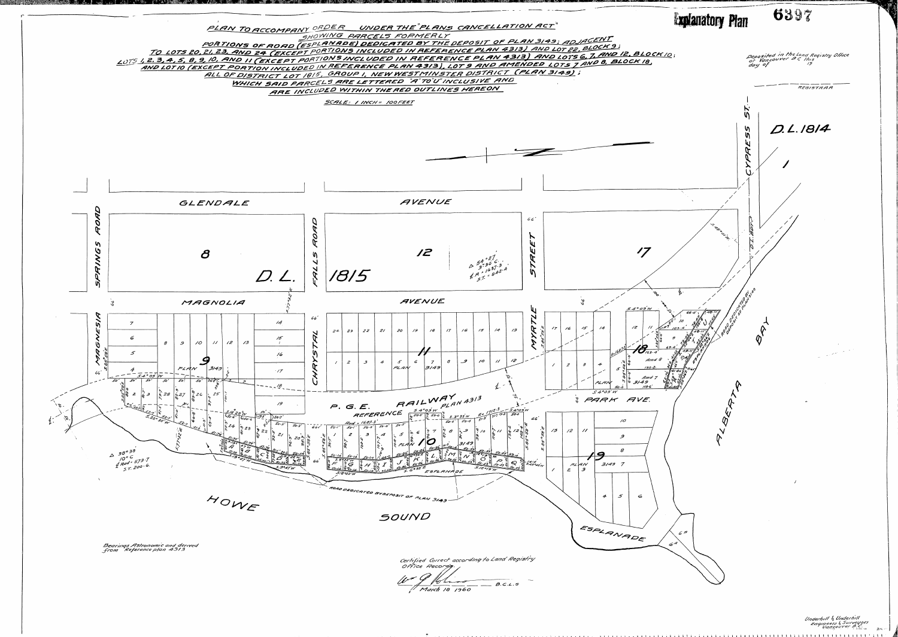

Underhill & Underhill<br>Engineers & Surveyors<br>Vancouver B.C.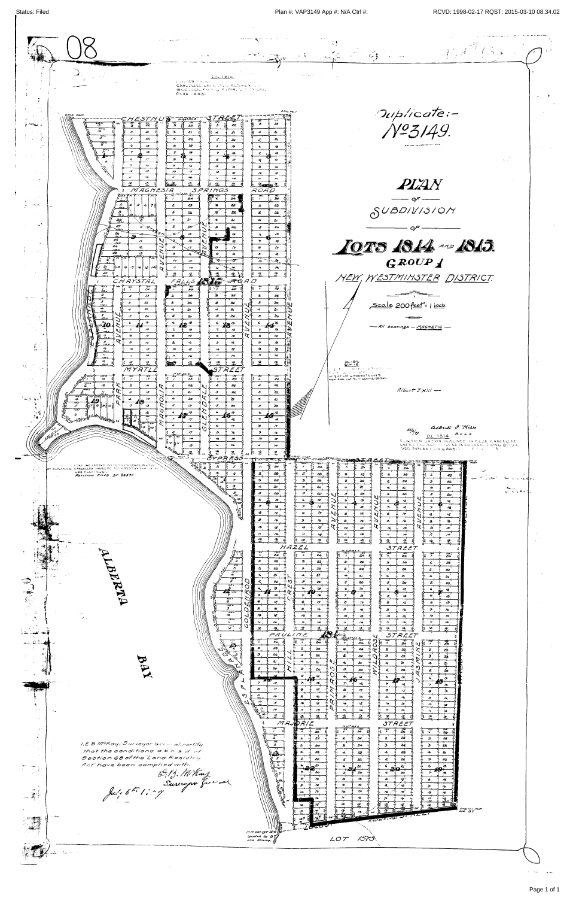Status: Filed 2015-03-10 08.34.02



| 15<br>2 <sub>1</sub><br>æ.                                                                                | 3.                                                                           | $\ddot{A}/\dot{b}$ art $J$ $H$ $H$                                                                                                                                                                                                                                                                                   |  |
|-----------------------------------------------------------------------------------------------------------|------------------------------------------------------------------------------|----------------------------------------------------------------------------------------------------------------------------------------------------------------------------------------------------------------------------------------------------------------------------------------------------------------------|--|
| ত <i>ফৰ</i> তে তে<br>$\overline{1}$<br>20<br>≿⊤<br>$\overline{a}$<br>-4                                   | $\Delta \mathbf{E}$<br>$\mathbf{z}$                                          |                                                                                                                                                                                                                                                                                                                      |  |
| 40<br>ုလုပ္မွတ္ပါတယ္။<br>$\sqrt{3}$<br>5<br>-5<br>$\sqrt{3}$<br>$\mathcal{S}$<br>E0.                      | $\mathcal{S}$<br>పెం                                                         |                                                                                                                                                                                                                                                                                                                      |  |
| ු /ජ<br>12<br>-19                                                                                         |                                                                              |                                                                                                                                                                                                                                                                                                                      |  |
| $\rightarrow$<br>تمتخلجو                                                                                  | $\rightarrow$<br>75                                                          |                                                                                                                                                                                                                                                                                                                      |  |
| $\boldsymbol{r}$<br>/6                                                                                    | $\sigma$ .<br>$\rightarrow$                                                  |                                                                                                                                                                                                                                                                                                                      |  |
| و.<br>$15-1$<br>$\mathcal{S}$<br>-79                                                                      | $\rightarrow$<br>$\overline{6}$                                              | $\begin{array}{ccccc}\n& \text{A!Beta} & \text{S. This} \\ \text{OL} & 1814 & & \\ \text{S.} & & & \\ \text{O.} & & & \\ \text{O.} & & & \\ \text{O.} & & & \\ \text{O.} & & & \\ \text{O.} & & & \\ \text{O.} & & & \\ \text{O.} & & & \\ \text{O.} & & & \\ \text{O.} & & & \\ \text{O.} & &$<br>$z^2/\frac{6}{9}$ |  |
| <del>ا نه گڏهه (</del><br>66<br>$\pi$<br>15                                                               | <b>TO</b><br>15                                                              | FORTION SHOWN OUTLINED IN PILLE CANCELLED                                                                                                                                                                                                                                                                            |  |
| lî⊿or<br>$\mathbf{x}$                                                                                     | $\mathbf{v}$<br>$\sqrt{2}$                                                   | UNDER F.C. ACT. - INKI ER IN COUNCIL FILING 87194.<br>SEE EXPLAN. FEW G448. NO FINE CIA                                                                                                                                                                                                                              |  |
|                                                                                                           | $\frac{73}{100}$<br>- 18<br>$120^{\circ}$                                    |                                                                                                                                                                                                                                                                                                                      |  |
| ? ESS                                                                                                     | $18/6.$ $-25$<br><b>The Company of the Company of the Company</b><br>$-1.58$ |                                                                                                                                                                                                                                                                                                                      |  |
| <b>IF DRITONS LETTERST AT SUMILIAN EAN LAN LEVIT</b><br>OF ESPLANALE CANCELLED UNDER PC. ACL-42717 . LISA | 24                                                                           |                                                                                                                                                                                                                                                                                                                      |  |
| SEE FLANTOUST.<br><i>Petition Filed DF 82571</i> .                                                        | 20.<br>23.                                                                   | 28<br>تهتد                                                                                                                                                                                                                                                                                                           |  |
|                                                                                                           | 22.<br>- 55<br>22<br>$\mathbf{5}$                                            | $\sim 884474$<br>22.<br>-3<br>22<br>$\bullet$<br>æ                                                                                                                                                                                                                                                                   |  |
|                                                                                                           | $\mathcal{L}_{\text{eff}}$<br>$\approx$                                      | $\sum$<br>$\mathbf{z}$<br>$\rightarrow$<br>$\mathbf{z}$                                                                                                                                                                                                                                                              |  |
|                                                                                                           | $\mathcal{S}$<br>20`<br>$\mathcal{I}$<br>20                                  | $\sum_{i=1}^{N}$<br>حذ<br>حم<br>зŚ.<br>$\mathcal{F}$<br>౽ం                                                                                                                                                                                                                                                           |  |
| 01 مئ<br>بتعت                                                                                             | 6.<br>19                                                                     | $\triangleright$<br>6                                                                                                                                                                                                                                                                                                |  |
|                                                                                                           | $\boldsymbol{\varkappa}$<br>79                                               | 19<br>70L                                                                                                                                                                                                                                                                                                            |  |
| Reader                                                                                                    | $\bullet$<br>$\rightarrow$<br>$\bullet$                                      | 78<br>$\sqrt{x}$<br>$\mathcal{L}$                                                                                                                                                                                                                                                                                    |  |
|                                                                                                           | $\mathbf{a}$<br>$n_{\rm b}$<br>$\cdot$                                       | $\lambda$<br>Лø.<br>ìò.                                                                                                                                                                                                                                                                                              |  |
|                                                                                                           | ੇਤ`<br>$\sim$<br>$\sqrt{2}$                                                  | $\sqrt{5}$<br>$\lambda$<br>15<br>$\boldsymbol{\omega}$                                                                                                                                                                                                                                                               |  |
|                                                                                                           |                                                                              | ∕∗.<br>$\overline{14}$<br>$\lambda$                                                                                                                                                                                                                                                                                  |  |
| المسترعات والمستقيل المتناقص فتلحم<br>ومحافظ والمنا                                                       | $\overline{12}$                                                              | 752<br>45.<br>$\frac{1}{2}$<br>⁄ਤ ਜ                                                                                                                                                                                                                                                                                  |  |
|                                                                                                           | HAZEL                                                                        | 3TREET                                                                                                                                                                                                                                                                                                               |  |
|                                                                                                           | ∕≋'<br>2¥                                                                    | $\mathbb{Z}^2$<br>24<br>24<br>一大一                                                                                                                                                                                                                                                                                    |  |
| r<br>2                                                                                                    | $\mathbf{z}$<br>25<br>$\mathbf{z}$<br>83                                     | $\mathbf{z}$<br>23<br>23.<br>-8<br>29                                                                                                                                                                                                                                                                                |  |
|                                                                                                           | $\Delta$<br>-3<br>22                                                         | $22^{\circ}$<br>$\mathbf{3}$<br>22.<br>$\mathbf{3}$<br>22                                                                                                                                                                                                                                                            |  |
|                                                                                                           | $\sim$                                                                       |                                                                                                                                                                                                                                                                                                                      |  |
| سال المستقبل المستقبل المستقبل.<br>مستقبل المستقبل<br>ाडकर<br>उ                                           | ທ<br>20.<br>$20^{\circ}$                                                     | 20 <sub>1</sub><br>20<br>20                                                                                                                                                                                                                                                                                          |  |
| RT<br>$\frac{1}{2}$ $\frac{1}{2}$ $\frac{1}{2}$ $\frac{1}{2}$ $\frac{1}{2}$                               | 冾<br>$\overline{ }$                                                          | $\mathcal{A}$<br>- 65<br>49                                                                                                                                                                                                                                                                                          |  |
|                                                                                                           |                                                                              | -2<br>$\lambda$                                                                                                                                                                                                                                                                                                      |  |
| रू<br>८<br>Œ                                                                                              | $\sim$                                                                       | $\rightarrow$<br>ø<br>77<br>$\mathcal{K}$                                                                                                                                                                                                                                                                            |  |
| $\frac{1}{2}$                                                                                             | $\mathcal{P}$                                                                | $\mathbf{9}$<br>$\mathcal{N}_{\bullet}$<br>جي<br>-91<br>76                                                                                                                                                                                                                                                           |  |
| $\frac{1030}{10}$<br>$\mathcal{L}(\mathcal{G})$                                                           | $\lambda$<br>$\star$                                                         | $\mathcal{D}^{\mathcal{C}}$<br>$\sigma$<br>$\mathcal{L}$<br>$\sim$<br>TO.<br>15                                                                                                                                                                                                                                      |  |
| $\frac{1}{1010}$                                                                                          | $\boldsymbol{\kappa}$<br>1.6                                                 | $\overline{a}$<br>74.<br>$\boldsymbol{\gamma}$                                                                                                                                                                                                                                                                       |  |
| $\frac{1}{2}$                                                                                             | $6\frac{8}{100}$<br>$\Delta$                                                 | <u>ያ</u> አይ<br>A.<br>$\lambda$<br>45.                                                                                                                                                                                                                                                                                |  |
|                                                                                                           | PAULINE                                                                      | STREET<br>40                                                                                                                                                                                                                                                                                                         |  |
| 网络潜艇                                                                                                      | الأنثث<br>$\sim$                                                             | ्रास्त<br>संदर्भ<br>ہیں۔<br>مح<br>z4                                                                                                                                                                                                                                                                                 |  |
|                                                                                                           | 43<br>$\mathbf{z}$<br>$\mathcal{S}$<br>22                                    | 8<br><b>R#</b><br>-3<br>гŠ                                                                                                                                                                                                                                                                                           |  |
| $\boldsymbol{\beta}$                                                                                      | 22<br>$\mathcal{L}_{\mathbf{r}}$                                             | 4<br>ు<br>22.<br>ae.<br>22                                                                                                                                                                                                                                                                                           |  |
|                                                                                                           | $\mathbf{z}_l$                                                               | ఒ<br>$\rightarrow$<br>27                                                                                                                                                                                                                                                                                             |  |
| $\mathbf{X}$                                                                                              |                                                                              | 80<br>$z_{0}$<br>డిప                                                                                                                                                                                                                                                                                                 |  |
|                                                                                                           | -16                                                                          |                                                                                                                                                                                                                                                                                                                      |  |
|                                                                                                           | 10<br>$\gamma$<br>÷                                                          | ۸s                                                                                                                                                                                                                                                                                                                   |  |
| <b>12 图表 图形</b><br>ო                                                                                      | <b>ی</b>                                                                     | $\tilde{\mathbf{x}}$<br>G.<br>$\bullet$<br>佼<br>y<br>්                                                                                                                                                                                                                                                               |  |
|                                                                                                           | 76<br>$\sqrt{2}$<br>$15^\circ$                                               | $\mathbf{x}$<br>٨é<br>-9                                                                                                                                                                                                                                                                                             |  |
|                                                                                                           | $\sqrt{2}$<br>15                                                             | $\mathcal{L}_{\mathbf{S}}$<br>$\sqrt{2}$<br><b>TO</b><br>$\lambda$ si<br>$\sqrt{2}$<br>75F                                                                                                                                                                                                                           |  |
| $\sim 10$                                                                                                 |                                                                              | $\boldsymbol{\gamma}$<br>$\sim$<br>- 12<br>- 25                                                                                                                                                                                                                                                                      |  |
|                                                                                                           | MAJORIE                                                                      |                                                                                                                                                                                                                                                                                                                      |  |
|                                                                                                           |                                                                              | <b>STREET</b><br>$M$ G $7^{\circ}$ g $3^{\circ}$ G                                                                                                                                                                                                                                                                   |  |
|                                                                                                           | 26                                                                           | $\overline{X}$<br>୍ଦୁ<br>26<br>2.<br>$z_{\leftarrow}$                                                                                                                                                                                                                                                                |  |
| I.E.B. McKay, Surveyor General, certify                                                                   | $\boldsymbol{z}$<br>25<br>$\mathbf{r}$                                       | 2\$<br>$\mathbf{z}$<br>$\mathbf{a}$<br>26<br>$\geq$<br>23                                                                                                                                                                                                                                                            |  |
| that the conditions about of                                                                              | -S.<br>24                                                                    | $\mathbf{B}^{\mathbf{r}}$<br>$\mathbf{S}$<br>$26 -$<br>$\mathcal{F}$<br>$24 -$<br>-22                                                                                                                                                                                                                                |  |
|                                                                                                           | $\ddotmark$<br>23                                                            | 23<br>$\rightarrow$<br>$\mathbf{A}$<br>$\sim$<br>$\mathcal{A}_{\mathbf{t}}$                                                                                                                                                                                                                                          |  |
| Section 68 of the Land Registry                                                                           | $\mathcal{Z}$                                                                | 22.<br>ъ£                                                                                                                                                                                                                                                                                                            |  |



Page 1 of 1